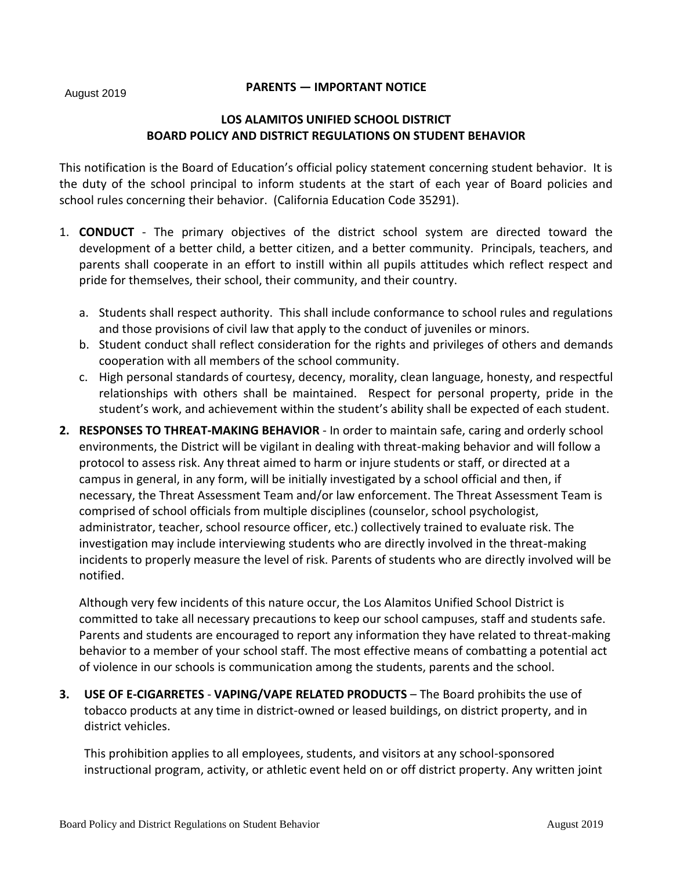August 2019

# **PARENTS — IMPORTANT NOTICE**

# **LOS ALAMITOS UNIFIED SCHOOL DISTRICT BOARD POLICY AND DISTRICT REGULATIONS ON STUDENT BEHAVIOR**

This notification is the Board of Education's official policy statement concerning student behavior. It is the duty of the school principal to inform students at the start of each year of Board policies and school rules concerning their behavior. (California Education Code 35291).

- 1. **CONDUCT** The primary objectives of the district school system are directed toward the development of a better child, a better citizen, and a better community. Principals, teachers, and parents shall cooperate in an effort to instill within all pupils attitudes which reflect respect and pride for themselves, their school, their community, and their country.
	- a. Students shall respect authority. This shall include conformance to school rules and regulations and those provisions of civil law that apply to the conduct of juveniles or minors.
	- b. Student conduct shall reflect consideration for the rights and privileges of others and demands cooperation with all members of the school community.
	- c. High personal standards of courtesy, decency, morality, clean language, honesty, and respectful relationships with others shall be maintained. Respect for personal property, pride in the student's work, and achievement within the student's ability shall be expected of each student.
- **2. RESPONSES TO THREAT-MAKING BEHAVIOR** In order to maintain safe, caring and orderly school environments, the District will be vigilant in dealing with threat-making behavior and will follow a protocol to assess risk. Any threat aimed to harm or injure students or staff, or directed at a campus in general, in any form, will be initially investigated by a school official and then, if necessary, the Threat Assessment Team and/or law enforcement. The Threat Assessment Team is comprised of school officials from multiple disciplines (counselor, school psychologist, administrator, teacher, school resource officer, etc.) collectively trained to evaluate risk. The investigation may include interviewing students who are directly involved in the threat-making incidents to properly measure the level of risk. Parents of students who are directly involved will be notified.

Although very few incidents of this nature occur, the Los Alamitos Unified School District is committed to take all necessary precautions to keep our school campuses, staff and students safe. Parents and students are encouraged to report any information they have related to threat-making behavior to a member of your school staff. The most effective means of combatting a potential act of violence in our schools is communication among the students, parents and the school.

**3. USE OF E-CIGARRETES** - **VAPING/VAPE RELATED PRODUCTS** – The Board prohibits the use of tobacco products at any time in district-owned or leased buildings, on district property, and in district vehicles.

This prohibition applies to all employees, students, and visitors at any school-sponsored instructional program, activity, or athletic event held on or off district property. Any written joint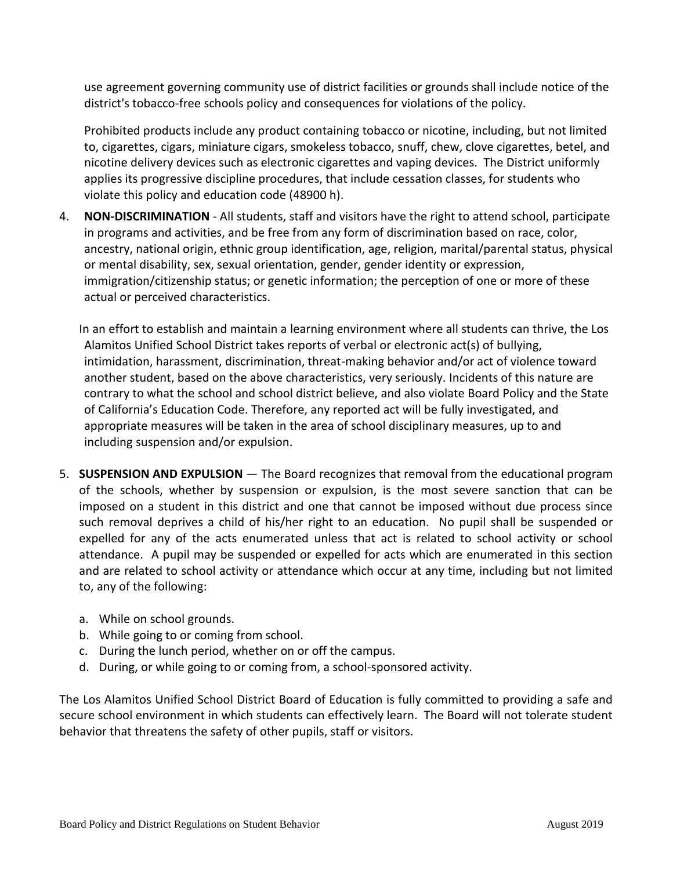use agreement governing community use of district facilities or grounds shall include notice of the district's tobacco-free schools policy and consequences for violations of the policy.

Prohibited products include any product containing tobacco or nicotine, including, but not limited to, cigarettes, cigars, miniature cigars, smokeless tobacco, snuff, chew, clove cigarettes, betel, and nicotine delivery devices such as electronic cigarettes and vaping devices. The District uniformly applies its progressive discipline procedures, that include cessation classes, for students who violate this policy and education code (48900 h).

4. **NON-DISCRIMINATION** - All students, staff and visitors have the right to attend school, participate in programs and activities, and be free from any form of discrimination based on race, color, ancestry, national origin, ethnic group identification, age, religion, marital/parental status, physical or mental disability, sex, sexual orientation, gender, gender identity or expression, immigration/citizenship status; or genetic information; the perception of one or more of these actual or perceived characteristics.

In an effort to establish and maintain a learning environment where all students can thrive, the Los Alamitos Unified School District takes reports of verbal or electronic act(s) of bullying, intimidation, harassment, discrimination, threat-making behavior and/or act of violence toward another student, based on the above characteristics, very seriously. Incidents of this nature are contrary to what the school and school district believe, and also violate Board Policy and the State of California's Education Code. Therefore, any reported act will be fully investigated, and appropriate measures will be taken in the area of school disciplinary measures, up to and including suspension and/or expulsion.

- 5. **SUSPENSION AND EXPULSION**  The Board recognizes that removal from the educational program of the schools, whether by suspension or expulsion, is the most severe sanction that can be imposed on a student in this district and one that cannot be imposed without due process since such removal deprives a child of his/her right to an education. No pupil shall be suspended or expelled for any of the acts enumerated unless that act is related to school activity or school attendance. A pupil may be suspended or expelled for acts which are enumerated in this section and are related to school activity or attendance which occur at any time, including but not limited to, any of the following:
	- a. While on school grounds.
	- b. While going to or coming from school.
	- c. During the lunch period, whether on or off the campus.
	- d. During, or while going to or coming from, a school-sponsored activity.

The Los Alamitos Unified School District Board of Education is fully committed to providing a safe and secure school environment in which students can effectively learn. The Board will not tolerate student behavior that threatens the safety of other pupils, staff or visitors.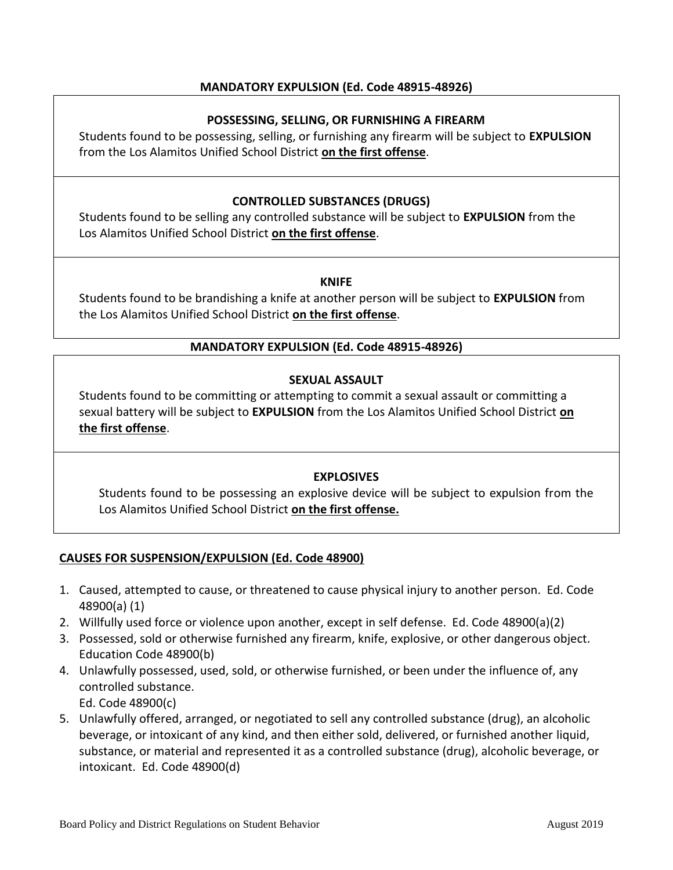# **MANDATORY EXPULSION (Ed. Code 48915-48926)**

# **POSSESSING, SELLING, OR FURNISHING A FIREARM**

Students found to be possessing, selling, or furnishing any firearm will be subject to **EXPULSION** from the Los Alamitos Unified School District **on the first offense**.

# **CONTROLLED SUBSTANCES (DRUGS)**

Students found to be selling any controlled substance will be subject to **EXPULSION** from the Los Alamitos Unified School District **on the first offense**.

#### **KNIFE**

Students found to be brandishing a knife at another person will be subject to **EXPULSION** from the Los Alamitos Unified School District **on the first offense**.

### **MANDATORY EXPULSION (Ed. Code 48915-48926)**

### **SEXUAL ASSAULT**

Students found to be committing or attempting to commit a sexual assault or committing a sexual battery will be subject to **EXPULSION** from the Los Alamitos Unified School District **on the first offense**.

### **EXPLOSIVES**

Students found to be possessing an explosive device will be subject to expulsion from the Los Alamitos Unified School District **on the first offense.**

### **CAUSES FOR SUSPENSION/EXPULSION (Ed. Code 48900)**

- 1. Caused, attempted to cause, or threatened to cause physical injury to another person. Ed. Code 48900(a) (1)
- 2. Willfully used force or violence upon another, except in self defense. Ed. Code 48900(a)(2)
- 3. Possessed, sold or otherwise furnished any firearm, knife, explosive, or other dangerous object. Education Code 48900(b)
- 4. Unlawfully possessed, used, sold, or otherwise furnished, or been under the influence of, any controlled substance.
	- Ed. Code 48900(c)
- 5. Unlawfully offered, arranged, or negotiated to sell any controlled substance (drug), an alcoholic beverage, or intoxicant of any kind, and then either sold, delivered, or furnished another liquid, substance, or material and represented it as a controlled substance (drug), alcoholic beverage, or intoxicant. Ed. Code 48900(d)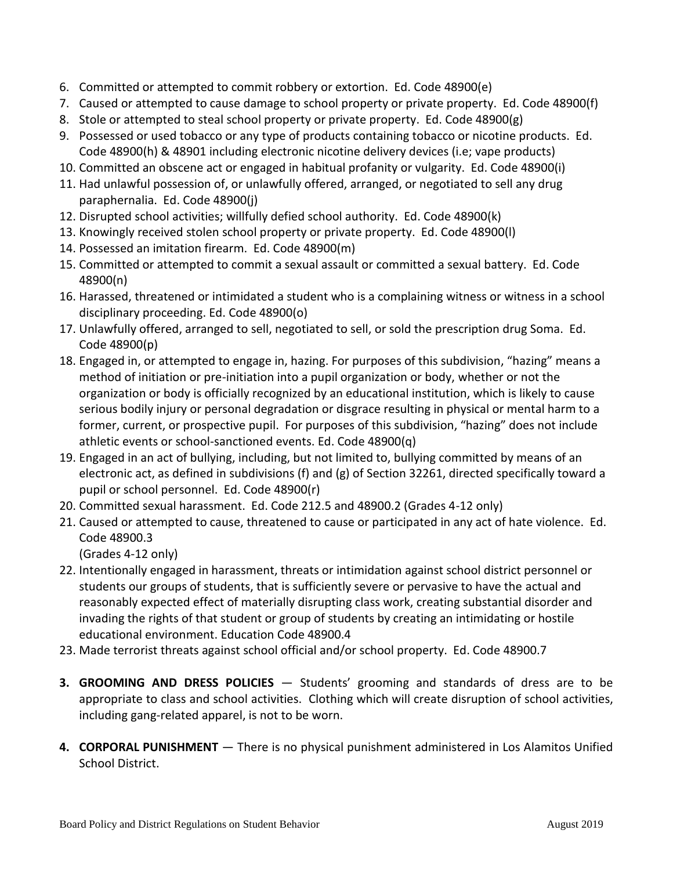- 6. Committed or attempted to commit robbery or extortion. Ed. Code 48900(e)
- 7. Caused or attempted to cause damage to school property or private property. Ed. Code 48900(f)
- 8. Stole or attempted to steal school property or private property. Ed. Code 48900(g)
- 9. Possessed or used tobacco or any type of products containing tobacco or nicotine products. Ed. Code 48900(h) & 48901 including electronic nicotine delivery devices (i.e; vape products)
- 10. Committed an obscene act or engaged in habitual profanity or vulgarity. Ed. Code 48900(i)
- 11. Had unlawful possession of, or unlawfully offered, arranged, or negotiated to sell any drug paraphernalia. Ed. Code 48900(j)
- 12. Disrupted school activities; willfully defied school authority. Ed. Code 48900(k)
- 13. Knowingly received stolen school property or private property. Ed. Code 48900(l)
- 14. Possessed an imitation firearm. Ed. Code 48900(m)
- 15. Committed or attempted to commit a sexual assault or committed a sexual battery. Ed. Code 48900(n)
- 16. Harassed, threatened or intimidated a student who is a complaining witness or witness in a school disciplinary proceeding. Ed. Code 48900(o)
- 17. Unlawfully offered, arranged to sell, negotiated to sell, or sold the prescription drug Soma. Ed. Code 48900(p)
- 18. Engaged in, or attempted to engage in, hazing. For purposes of this subdivision, "hazing" means a method of initiation or pre-initiation into a pupil organization or body, whether or not the organization or body is officially recognized by an educational institution, which is likely to cause serious bodily injury or personal degradation or disgrace resulting in physical or mental harm to a former, current, or prospective pupil. For purposes of this subdivision, "hazing" does not include athletic events or school-sanctioned events. Ed. Code 48900(q)
- 19. Engaged in an act of bullying, including, but not limited to, bullying committed by means of an electronic act, as defined in subdivisions (f) and (g) of Section 32261, directed specifically toward a pupil or school personnel. Ed. Code 48900(r)
- 20. Committed sexual harassment. Ed. Code 212.5 and 48900.2 (Grades 4-12 only)
- 21. Caused or attempted to cause, threatened to cause or participated in any act of hate violence. Ed. Code 48900.3

(Grades 4-12 only)

- 22. Intentionally engaged in harassment, threats or intimidation against school district personnel or students our groups of students, that is sufficiently severe or pervasive to have the actual and reasonably expected effect of materially disrupting class work, creating substantial disorder and invading the rights of that student or group of students by creating an intimidating or hostile educational environment. Education Code 48900.4
- 23. Made terrorist threats against school official and/or school property. Ed. Code 48900.7
- **3. GROOMING AND DRESS POLICIES** Students' grooming and standards of dress are to be appropriate to class and school activities. Clothing which will create disruption of school activities, including gang-related apparel, is not to be worn.
- **4. CORPORAL PUNISHMENT** There is no physical punishment administered in Los Alamitos Unified School District.